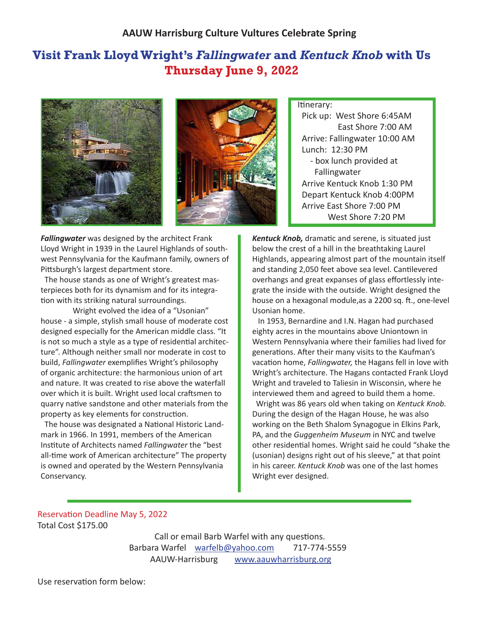## **Visit Frank Lloyd Wright's** *Fallingwater* **and** *Kentuck Knob* **with Us Thursday June 9, 2022**





Itinerary:

 Pick up: West Shore 6:45AM East Shore 7:00 AM Arrive: Fallingwater 10:00 AM Lunch: 12:30 PM - box lunch provided at Fallingwater Arrive Kentuck Knob 1:30 PM Depart Kentuck Knob 4:00PM Arrive East Shore 7:00 PM West Shore 7:20 PM

*Fallingwater* was designed by the architect Frank Lloyd Wright in 1939 in the Laurel Highlands of southwest Pennsylvania for the Kaufmann family, owners of Pittsburgh's largest department store.

 The house stands as one of Wright's greatest masterpieces both for its dynamism and for its integration with its striking natural surroundings.

 Wright evolved the idea of a "Usonian" house - a simple, stylish small house of moderate cost designed especially for the American middle class. "It is not so much a style as a type of residential architecture". Although neither small nor moderate in cost to build, *Fallingwater* exemplifies Wright's philosophy of organic architecture: the harmonious union of art and nature. It was created to rise above the waterfall over which it is built. Wright used local craftsmen to quarry native sandstone and other materials from the property as key elements for construction.

 The house was designated a National Historic Landmark in 1966. In 1991, members of the American Institute of Architects named *Fallingwater* the "best all-time work of American architecture" The property is owned and operated by the Western Pennsylvania Conservancy.

*Kentuck Knob,* dramatic and serene, is situated just below the crest of a hill in the breathtaking Laurel Highlands, appearing almost part of the mountain itself and standing 2,050 feet above sea level. Cantilevered overhangs and great expanses of glass effortlessly integrate the inside with the outside. Wright designed the house on a hexagonal module,as a 2200 sq. ft., one-level Usonian home.

 In 1953, Bernardine and I.N. Hagan had purchased eighty acres in the mountains above Uniontown in Western Pennsylvania where their families had lived for generations. After their many visits to the Kaufman's vacation home, *Fallingwater,* the Hagans fell in love with Wright's architecture. The Hagans contacted Frank Lloyd Wright and traveled to Taliesin in Wisconsin, where he interviewed them and agreed to build them a home.

 Wright was 86 years old when taking on *Kentuck Knob.* During the design of the Hagan House, he was also working on the Beth Shalom Synagogue in Elkins Park, PA, and the *Guggenheim Museum* in NYC and twelve other residential homes. Wright said he could "shake the (usonian) designs right out of his sleeve," at that point in his career. *Kentuck Knob* was one of the last homes Wright ever designed.

## Reservation Deadline May 5, 2022 Total Cost \$175.00

 Call or email Barb Warfel with any questions. Barbara Warfel warfelb@yahoo.com 717-774-5559 AAUW-Harrisburg www.aauwharrisburg.org

Use reservation form below: